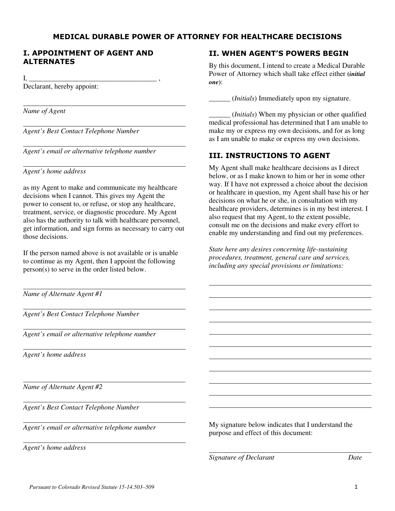#### MEDICAL DURABLE POWER OF ATTORNEY FOR HEALTHCARE DECISIONS

 $\overline{\phantom{a}}$  $\overline{\phantom{a}}$ 

 $\overline{a}$ 

## I. APPOINTMENT OF AGENT AND ALTERNATES

 $I, \Box$ 

 $\overline{a}$ 

 $\overline{a}$ 

 $\overline{a}$ 

 $\overline{a}$ 

 $\overline{a}$ 

 $\overline{a}$ 

 $\overline{a}$ 

 $\overline{a}$ 

Declarant, hereby appoint:

*Name of Agent* 

 $\overline{\phantom{a}}$ *Agent's Best Contact Telephone Number* 

*Agent's email or alternative telephone number* 

*Agent's home address* 

as my Agent to make and communicate my healthcare decisions when I cannot. This gives my Agent the power to consent to, or refuse, or stop any healthcare, treatment, service, or diagnostic procedure. My Agent also has the authority to talk with healthcare personnel, get information, and sign forms as necessary to carry out those decisions.

If the person named above is not available or is unable to continue as my Agent, then I appoint the following person(s) to serve in the order listed below.

*Name of Alternate Agent #1* 

*Agent's Best Contact Telephone Number* 

 $\overline{a}$ *Agent's email or alternative telephone number* 

*Agent's home address* 

 $\overline{a}$ *Name of Alternate Agent #2* 

 $\overline{a}$ *Agent's Best Contact Telephone Number* 

*Agent's email or alternative telephone number* 

*Agent's home address* 

### II. WHEN AGENT'S POWERS BEGIN

By this document, I intend to create a Medical Durable Power of Attorney which shall take effect either **(***initial one***)**:

\_\_\_\_\_\_ (*Initials*) Immediately upon my signature.

\_\_\_\_\_\_ (*Initials*) When my physician or other qualified medical professional has determined that I am unable to make my or express my own decisions, and for as long as I am unable to make or express my own decisions.

# III. INSTRUCTIONS TO AGENT

My Agent shall make healthcare decisions as I direct below, or as I make known to him or her in some other way. If I have not expressed a choice about the decision or healthcare in question, my Agent shall base his or her decisions on what he or she, in consultation with my healthcare providers, determines is in my best interest. I also request that my Agent, to the extent possible, consult me on the decisions and make every effort to enable my understanding and find out my preferences.

*State here any desires concerning life-sustaining procedures, treatment, general care and services, including any special provisions or limitations:* 

My signature below indicates that I understand the purpose and effect of this document:

*Signature of Declarant Date*